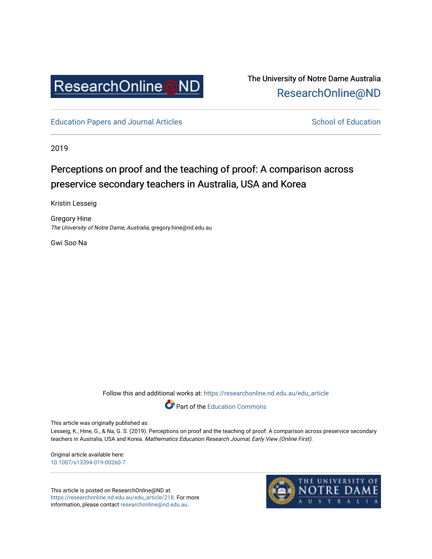

# The University of Notre Dame Australia [ResearchOnline@ND](https://researchonline.nd.edu.au/)

[Education Papers and Journal Articles](https://researchonline.nd.edu.au/edu_article) [School of Education](https://researchonline.nd.edu.au/edu) School of Education

2019

# Perceptions on proof and the teaching of proof: A comparison across preservice secondary teachers in Australia, USA and Korea

Kristin Lesseig

Gregory Hine The University of Notre Dame, Australia, gregory.hine@nd.edu.au

Gwi Soo Na

Follow this and additional works at: [https://researchonline.nd.edu.au/edu\\_article](https://researchonline.nd.edu.au/edu_article?utm_source=researchonline.nd.edu.au%2Fedu_article%2F218&utm_medium=PDF&utm_campaign=PDFCoverPages)



This article was originally published as:

Lesseig, K., Hine, G., & Na, G. S. (2019). Perceptions on proof and the teaching of proof: A comparison across preservice secondary teachers in Australia, USA and Korea. Mathematics Education Research Journal, Early View (Online First).

Original article available here: [10.1007/s13394-019-00260-7](https://doi.org/10.1007/s13394-019-00260-7) 

This article is posted on ResearchOnline@ND at [https://researchonline.nd.edu.au/edu\\_article/218](https://researchonline.nd.edu.au/edu_article/218). For more information, please contact [researchonline@nd.edu.au.](mailto:researchonline@nd.edu.au)

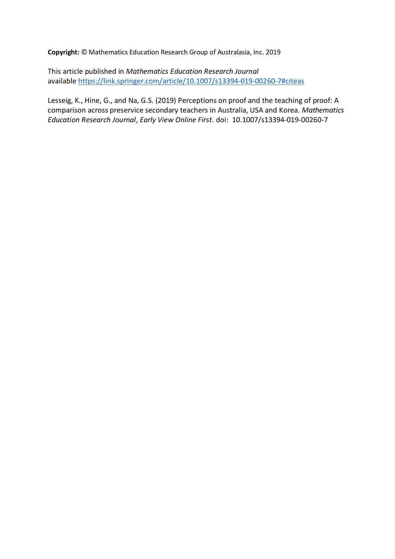**Copyright:** © Mathematics Education Research Group of Australasia, Inc. 2019

This article published in *Mathematics Education Research Journal*  available [https://link.springer.com/article/10.1007/s13394-019-00260-7#citeas](https://link.springer.com/article/10.1007/s13394-019-00260-7%23citeas)

Lesseig, K., Hine, G., and Na, G.S. (2019) Perceptions on proof and the teaching of proof: A comparison across preservice secondary teachers in Australia, USA and Korea. *Mathematics Education Research Journal*, *Early View Online First*. doi: 10.1007/s13394-019-00260-7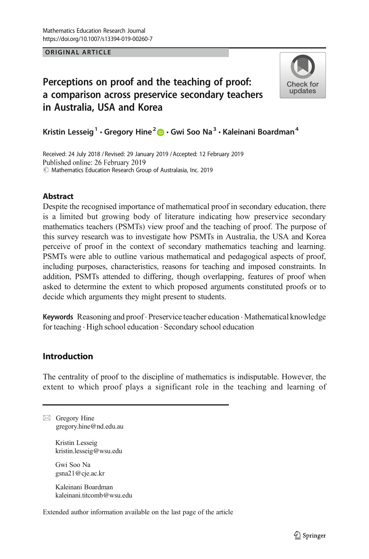#### ORIGINAL ARTICLE

# Perceptions on proof and the teaching of proof: a comparison across preservice secondary teachers in Australia, USA and Korea



Kristin Lesseig<sup>1</sup> • Gregory Hine<sup>2</sup>  $\bullet$  • Gwi Soo Na<sup>3</sup> • Kaleinani Boardman<sup>4</sup>

Received: 24 July 2018 / Revised: 29 January 2019 / Accepted: 12 February 2019 Published online: 26 February 2019  $\odot$  Mathematics Education Research Group of Australasia, Inc. 2019

## **Abstract**

Despite the recognised importance of mathematical proof in secondary education, there is a limited but growing body of literature indicating how preservice secondary mathematics teachers (PSMTs) view proof and the teaching of proof. The purpose of this survey research was to investigate how PSMTs in Australia, the USA and Korea perceive of proof in the context of secondary mathematics teaching and learning. PSMTs were able to outline various mathematical and pedagogical aspects of proof, including purposes, characteristics, reasons for teaching and imposed constraints. In addition, PSMTs attended to differing, though overlapping, features of proof when asked to determine the extent to which proposed arguments constituted proofs or to decide which arguments they might present to students.

Keywords Reasoning and proof . Preservice teacher education . Mathematical knowledge for teaching . High school education . Secondary school education

## Introduction

The centrality of proof to the discipline of mathematics is indisputable. However, the extent to which proof plays a significant role in the teaching and learning of

 $\boxtimes$  Gregory Hine [gregory.hine@nd.edu.au](mailto:gregory.hine@nd.edu.au)

> Kristin Lesseig kristin.lesseig@wsu.edu

Gwi Soo Na gsna21@cje.ac.kr

Kaleinani Boardman kaleinani.titcomb@wsu.edu

Extended author information available on the last page of the article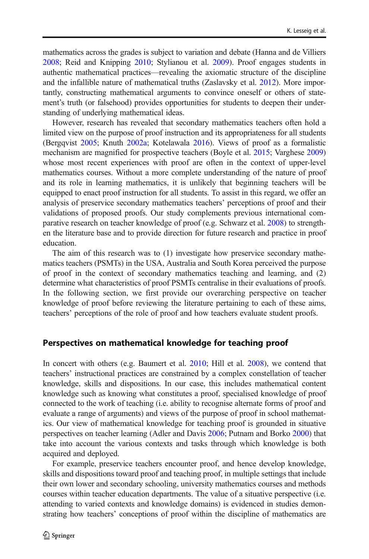mathematics across the grades is subject to variation and debate (Hanna and de Villiers [2008;](#page-25-0) Reid and Knipping [2010;](#page-26-0) Stylianou et al. [2009](#page-26-0)). Proof engages students in authentic mathematical practices—revealing the axiomatic structure of the discipline and the infallible nature of mathematical truths (Zaslavsky et al. [2012\)](#page-27-0). More importantly, constructing mathematical arguments to convince oneself or others of statement's truth (or falsehood) provides opportunities for students to deepen their understanding of underlying mathematical ideas.

However, research has revealed that secondary mathematics teachers often hold a limited view on the purpose of proof instruction and its appropriateness for all students (Bergqvist [2005;](#page-25-0) Knuth [2002a](#page-25-0); Kotelawala [2016\)](#page-26-0). Views of proof as a formalistic mechanism are magnified for prospective teachers (Boyle et al. [2015;](#page-25-0) Varghese [2009](#page-26-0)) whose most recent experiences with proof are often in the context of upper-level mathematics courses. Without a more complete understanding of the nature of proof and its role in learning mathematics, it is unlikely that beginning teachers will be equipped to enact proof instruction for all students. To assist in this regard, we offer an analysis of preservice secondary mathematics teachers' perceptions of proof and their validations of proposed proofs. Our study complements previous international comparative research on teacher knowledge of proof (e.g. Schwarz et al. [2008](#page-26-0)) to strengthen the literature base and to provide direction for future research and practice in proof education.

The aim of this research was to (1) investigate how preservice secondary mathematics teachers (PSMTs) in the USA, Australia and South Korea perceived the purpose of proof in the context of secondary mathematics teaching and learning, and (2) determine what characteristics of proof PSMTs centralise in their evaluations of proofs. In the following section, we first provide our overarching perspective on teacher knowledge of proof before reviewing the literature pertaining to each of these aims, teachers' perceptions of the role of proof and how teachers evaluate student proofs.

#### Perspectives on mathematical knowledge for teaching proof

In concert with others (e.g. Baumert et al. [2010;](#page-25-0) Hill et al. [2008\)](#page-25-0), we contend that teachers' instructional practices are constrained by a complex constellation of teacher knowledge, skills and dispositions. In our case, this includes mathematical content knowledge such as knowing what constitutes a proof, specialised knowledge of proof connected to the work of teaching (i.e. ability to recognise alternate forms of proof and evaluate a range of arguments) and views of the purpose of proof in school mathematics. Our view of mathematical knowledge for teaching proof is grounded in situative perspectives on teacher learning (Adler and Davis [2006](#page-25-0); Putnam and Borko [2000](#page-26-0)) that take into account the various contexts and tasks through which knowledge is both acquired and deployed.

For example, preservice teachers encounter proof, and hence develop knowledge, skills and dispositions toward proof and teaching proof, in multiple settings that include their own lower and secondary schooling, university mathematics courses and methods courses within teacher education departments. The value of a situative perspective (i.e. attending to varied contexts and knowledge domains) is evidenced in studies demonstrating how teachers' conceptions of proof within the discipline of mathematics are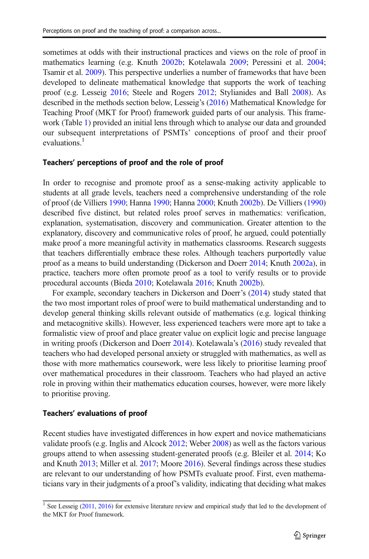sometimes at odds with their instructional practices and views on the role of proof in mathematics learning (e.g. Knuth [2002b](#page-25-0); Kotelawala [2009](#page-26-0); Peressini et al. [2004;](#page-26-0) Tsamir et al. [2009](#page-26-0)). This perspective underlies a number of frameworks that have been developed to delineate mathematical knowledge that supports the work of teaching proof (e.g. Lesseig [2016;](#page-26-0) Steele and Rogers [2012](#page-26-0); Stylianides and Ball [2008\)](#page-26-0). As described in the methods section below, Lesseig's [\(2016\)](#page-26-0) Mathematical Knowledge for Teaching Proof (MKT for Proof) framework guided parts of our analysis. This framework (Table [1](#page-5-0)) provided an initial lens through which to analyse our data and grounded our subsequent interpretations of PSMTs' conceptions of proof and their proof evaluations.<sup>1</sup>

#### Teachers' perceptions of proof and the role of proof

In order to recognise and promote proof as a sense-making activity applicable to students at all grade levels, teachers need a comprehensive understanding of the role of proof (de Villiers [1990](#page-25-0); Hanna [1990;](#page-25-0) Hanna [2000](#page-25-0); Knuth [2002b](#page-25-0)). De Villiers ([1990](#page-25-0)) described five distinct, but related roles proof serves in mathematics: verification, explanation, systematisation, discovery and communication. Greater attention to the explanatory, discovery and communicative roles of proof, he argued, could potentially make proof a more meaningful activity in mathematics classrooms. Research suggests that teachers differentially embrace these roles. Although teachers purportedly value proof as a means to build understanding (Dickerson and Doerr [2014;](#page-25-0) Knuth [2002a\)](#page-25-0), in practice, teachers more often promote proof as a tool to verify results or to provide procedural accounts (Bieda [2010](#page-25-0); Kotelawala [2016](#page-26-0); Knuth [2002b\)](#page-25-0).

For example, secondary teachers in Dickerson and Doerr's ([2014](#page-25-0)) study stated that the two most important roles of proof were to build mathematical understanding and to develop general thinking skills relevant outside of mathematics (e.g. logical thinking and metacognitive skills). However, less experienced teachers were more apt to take a formalistic view of proof and place greater value on explicit logic and precise language in writing proofs (Dickerson and Doerr [2014\)](#page-25-0). Kotelawala's ([2016](#page-26-0)) study revealed that teachers who had developed personal anxiety or struggled with mathematics, as well as those with more mathematics coursework, were less likely to prioritise learning proof over mathematical procedures in their classroom. Teachers who had played an active role in proving within their mathematics education courses, however, were more likely to prioritise proving.

#### Teachers' evaluations of proof

Recent studies have investigated differences in how expert and novice mathematicians validate proofs (e.g. Inglis and Alcock [2012;](#page-25-0) Weber [2008](#page-26-0)) as well as the factors various groups attend to when assessing student-generated proofs (e.g. Bleiler et al. [2014;](#page-25-0) Ko and Knuth [2013;](#page-26-0) Miller et al. [2017](#page-26-0); Moore [2016](#page-26-0)). Several findings across these studies are relevant to our understanding of how PSMTs evaluate proof. First, even mathematicians vary in their judgments of a proof's validity, indicating that deciding what makes

 $1$  See Lesseig ([2011,](#page-26-0) [2016](#page-26-0)) for extensive literature review and empirical study that led to the development of the MKT for Proof framework.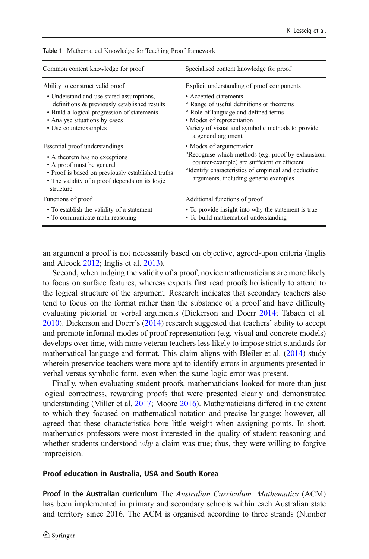| Common content knowledge for proof                                                                                                                                                                               | Specialised content knowledge for proof                                                                                                                                                                                                                  |
|------------------------------------------------------------------------------------------------------------------------------------------------------------------------------------------------------------------|----------------------------------------------------------------------------------------------------------------------------------------------------------------------------------------------------------------------------------------------------------|
| Ability to construct valid proof                                                                                                                                                                                 | Explicit understanding of proof components                                                                                                                                                                                                               |
| • Understand and use stated assumptions,<br>definitions & previously established results<br>• Build a logical progression of statements<br>• Analyse situations by cases<br>• Use counterexamples                | • Accepted statements<br><sup>o</sup> Range of useful definitions or theorems<br>° Role of language and defined terms<br>• Modes of representation<br>Variety of visual and symbolic methods to provide<br>a general argument                            |
| Essential proof understandings<br>• A theorem has no exceptions<br>• A proof must be general<br>• Proof is based on previously established truths<br>• The validity of a proof depends on its logic<br>structure | • Modes of argumentation<br><sup>o</sup> Recognise which methods (e.g. proof by exhaustion,<br>counter-example) are sufficient or efficient<br><sup>o</sup> Identify characteristics of empirical and deductive<br>arguments, including generic examples |
| Functions of proof<br>• To establish the validity of a statement<br>• To communicate math reasoning                                                                                                              | Additional functions of proof<br>• To provide insight into why the statement is true<br>• To build mathematical understanding                                                                                                                            |

<span id="page-5-0"></span>Table 1 Mathematical Knowledge for Teaching Proof framework

an argument a proof is not necessarily based on objective, agreed-upon criteria (Inglis and Alcock [2012;](#page-25-0) Inglis et al. [2013\)](#page-25-0).

Second, when judging the validity of a proof, novice mathematicians are more likely to focus on surface features, whereas experts first read proofs holistically to attend to the logical structure of the argument. Research indicates that secondary teachers also tend to focus on the format rather than the substance of a proof and have difficulty evaluating pictorial or verbal arguments (Dickerson and Doerr [2014;](#page-25-0) Tabach et al. [2010\)](#page-26-0). Dickerson and Doerr's [\(2014\)](#page-25-0) research suggested that teachers' ability to accept and promote informal modes of proof representation (e.g. visual and concrete models) develops over time, with more veteran teachers less likely to impose strict standards for mathematical language and format. This claim aligns with Bleiler et al. [\(2014\)](#page-25-0) study wherein preservice teachers were more apt to identify errors in arguments presented in verbal versus symbolic form, even when the same logic error was present.

Finally, when evaluating student proofs, mathematicians looked for more than just logical correctness, rewarding proofs that were presented clearly and demonstrated understanding (Miller et al. [2017](#page-26-0); Moore [2016\)](#page-26-0). Mathematicians differed in the extent to which they focused on mathematical notation and precise language; however, all agreed that these characteristics bore little weight when assigning points. In short, mathematics professors were most interested in the quality of student reasoning and whether students understood *why* a claim was true; thus, they were willing to forgive imprecision.

#### Proof education in Australia, USA and South Korea

Proof in the Australian curriculum The Australian Curriculum: Mathematics (ACM) has been implemented in primary and secondary schools within each Australian state and territory since 2016. The ACM is organised according to three strands (Number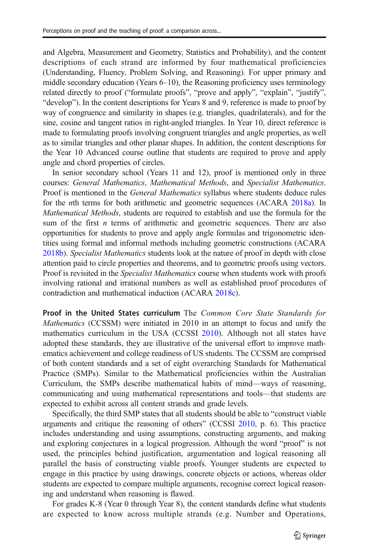and Algebra, Measurement and Geometry, Statistics and Probability), and the content descriptions of each strand are informed by four mathematical proficiencies (Understanding, Fluency, Problem Solving, and Reasoning). For upper primary and middle secondary education (Years 6–10), the Reasoning proficiency uses terminology related directly to proof ("formulate proofs", "prove and apply", "explain", "justify", "develop"). In the content descriptions for Years 8 and 9, reference is made to proof by way of congruence and similarity in shapes (e.g. triangles, quadrilaterals), and for the sine, cosine and tangent ratios in right-angled triangles. In Year 10, direct reference is made to formulating proofs involving congruent triangles and angle properties, as well as to similar triangles and other planar shapes. In addition, the content descriptions for the Year 10 Advanced course outline that students are required to prove and apply angle and chord properties of circles.

In senior secondary school (Years 11 and 12), proof is mentioned only in three courses: General Mathematics, Mathematical Methods, and Specialist Mathematics. Proof is mentioned in the *General Mathematics* syllabus where students deduce rules for the nth terms for both arithmetic and geometric sequences (ACARA [2018a\)](#page-25-0). In Mathematical Methods, students are required to establish and use the formula for the sum of the first  $n$  terms of arithmetic and geometric sequences. There are also opportunities for students to prove and apply angle formulas and trigonometric identities using formal and informal methods including geometric constructions (ACARA [2018b](#page-25-0)). Specialist Mathematics students look at the nature of proof in depth with close attention paid to circle properties and theorems, and to geometric proofs using vectors. Proof is revisited in the *Specialist Mathematics* course when students work with proofs involving rational and irrational numbers as well as established proof procedures of contradiction and mathematical induction (ACARA [2018c](#page-25-0)).

Proof in the United States curriculum The Common Core State Standards for Mathematics (CCSSM) were initiated in 2010 in an attempt to focus and unify the mathematics curriculum in the USA (CCSSI [2010](#page-25-0)). Although not all states have adopted these standards, they are illustrative of the universal effort to improve mathematics achievement and college readiness of US students. The CCSSM are comprised of both content standards and a set of eight overarching Standards for Mathematical Practice (SMPs). Similar to the Mathematical proficiencies within the Australian Curriculum, the SMPs describe mathematical habits of mind—ways of reasoning, communicating and using mathematical representations and tools—that students are expected to exhibit across all content strands and grade levels.

Specifically, the third SMP states that all students should be able to "construct viable arguments and critique the reasoning of others" (CCSSI [2010,](#page-25-0) p. 6). This practice includes understanding and using assumptions, constructing arguments, and making and exploring conjectures in a logical progression. Although the word "proof" is not used, the principles behind justification, argumentation and logical reasoning all parallel the basis of constructing viable proofs. Younger students are expected to engage in this practice by using drawings, concrete objects or actions, whereas older students are expected to compare multiple arguments, recognise correct logical reasoning and understand when reasoning is flawed.

For grades K-8 (Year 0 through Year 8), the content standards define what students are expected to know across multiple strands (e.g. Number and Operations,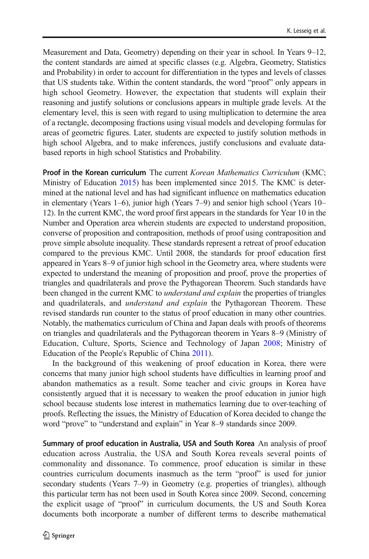Measurement and Data, Geometry) depending on their year in school. In Years 9–12, the content standards are aimed at specific classes (e.g. Algebra, Geometry, Statistics and Probability) in order to account for differentiation in the types and levels of classes that US students take. Within the content standards, the word "proof" only appears in high school Geometry. However, the expectation that students will explain their reasoning and justify solutions or conclusions appears in multiple grade levels. At the elementary level, this is seen with regard to using multiplication to determine the area of a rectangle, decomposing fractions using visual models and developing formulas for areas of geometric figures. Later, students are expected to justify solution methods in high school Algebra, and to make inferences, justify conclusions and evaluate databased reports in high school Statistics and Probability.

Proof in the Korean curriculum The current Korean Mathematics Curriculum (KMC; Ministry of Education [2015](#page-26-0)) has been implemented since 2015. The KMC is determined at the national level and has had significant influence on mathematics education in elementary (Years 1–6), junior high (Years 7–9) and senior high school (Years 10– 12). In the current KMC, the word proof first appears in the standards for Year 10 in the Number and Operation area wherein students are expected to understand proposition, converse of proposition and contraposition, methods of proof using contraposition and prove simple absolute inequality. These standards represent a retreat of proof education compared to the previous KMC. Until 2008, the standards for proof education first appeared in Years 8–9 of junior high school in the Geometry area, where students were expected to understand the meaning of proposition and proof, prove the properties of triangles and quadrilaterals and prove the Pythagorean Theorem. Such standards have been changed in the current KMC to *understand and explain* the properties of triangles and quadrilaterals, and *understand and explain* the Pythagorean Theorem. These revised standards run counter to the status of proof education in many other countries. Notably, the mathematics curriculum of China and Japan deals with proofs of theorems on triangles and quadrilaterals and the Pythagorean theorem in Years 8–9 (Ministry of Education, Culture, Sports, Science and Technology of Japan [2008](#page-26-0); Ministry of Education of the People's Republic of China [2011](#page-26-0)).

In the background of this weakening of proof education in Korea, there were concerns that many junior high school students have difficulties in learning proof and abandon mathematics as a result. Some teacher and civic groups in Korea have consistently argued that it is necessary to weaken the proof education in junior high school because students lose interest in mathematics learning due to over-teaching of proofs. Reflecting the issues, the Ministry of Education of Korea decided to change the word "prove" to "understand and explain" in Year 8–9 standards since 2009.

Summary of proof education in Australia, USA and South Korea An analysis of proof education across Australia, the USA and South Korea reveals several points of commonality and dissonance. To commence, proof education is similar in these countries curriculum documents inasmuch as the term "proof" is used for junior secondary students (Years 7–9) in Geometry (e.g. properties of triangles), although this particular term has not been used in South Korea since 2009. Second, concerning the explicit usage of "proof" in curriculum documents, the US and South Korea documents both incorporate a number of different terms to describe mathematical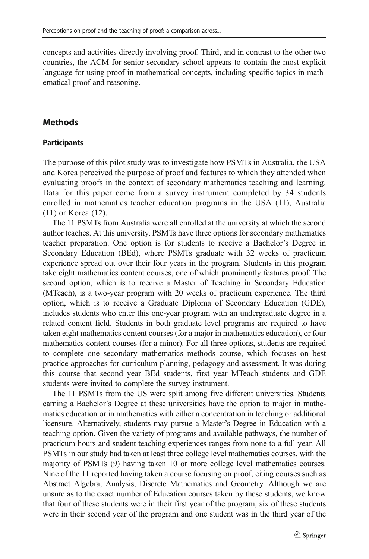concepts and activities directly involving proof. Third, and in contrast to the other two countries, the ACM for senior secondary school appears to contain the most explicit language for using proof in mathematical concepts, including specific topics in mathematical proof and reasoning.

## **Methods**

#### **Participants**

The purpose of this pilot study was to investigate how PSMTs in Australia, the USA and Korea perceived the purpose of proof and features to which they attended when evaluating proofs in the context of secondary mathematics teaching and learning. Data for this paper come from a survey instrument completed by 34 students enrolled in mathematics teacher education programs in the USA (11), Australia (11) or Korea (12).

The 11 PSMTs from Australia were all enrolled at the university at which the second author teaches. At this university, PSMTs have three options for secondary mathematics teacher preparation. One option is for students to receive a Bachelor's Degree in Secondary Education (BEd), where PSMTs graduate with 32 weeks of practicum experience spread out over their four years in the program. Students in this program take eight mathematics content courses, one of which prominently features proof. The second option, which is to receive a Master of Teaching in Secondary Education (MTeach), is a two-year program with 20 weeks of practicum experience. The third option, which is to receive a Graduate Diploma of Secondary Education (GDE), includes students who enter this one-year program with an undergraduate degree in a related content field. Students in both graduate level programs are required to have taken eight mathematics content courses (for a major in mathematics education), or four mathematics content courses (for a minor). For all three options, students are required to complete one secondary mathematics methods course, which focuses on best practice approaches for curriculum planning, pedagogy and assessment. It was during this course that second year BEd students, first year MTeach students and GDE students were invited to complete the survey instrument.

The 11 PSMTs from the US were split among five different universities. Students earning a Bachelor's Degree at these universities have the option to major in mathematics education or in mathematics with either a concentration in teaching or additional licensure. Alternatively, students may pursue a Master's Degree in Education with a teaching option. Given the variety of programs and available pathways, the number of practicum hours and student teaching experiences ranges from none to a full year. All PSMTs in our study had taken at least three college level mathematics courses, with the majority of PSMTs (9) having taken 10 or more college level mathematics courses. Nine of the 11 reported having taken a course focusing on proof, citing courses such as Abstract Algebra, Analysis, Discrete Mathematics and Geometry. Although we are unsure as to the exact number of Education courses taken by these students, we know that four of these students were in their first year of the program, six of these students were in their second year of the program and one student was in the third year of the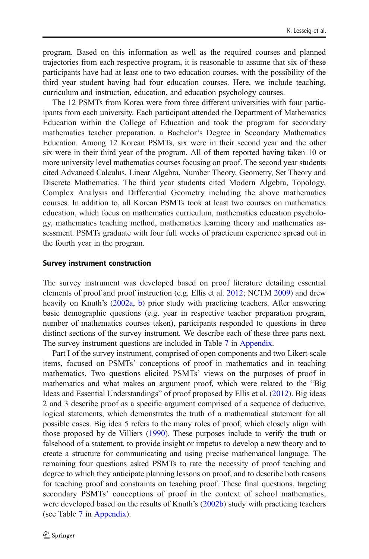program. Based on this information as well as the required courses and planned trajectories from each respective program, it is reasonable to assume that six of these participants have had at least one to two education courses, with the possibility of the third year student having had four education courses. Here, we include teaching, curriculum and instruction, education, and education psychology courses.

The 12 PSMTs from Korea were from three different universities with four participants from each university. Each participant attended the Department of Mathematics Education within the College of Education and took the program for secondary mathematics teacher preparation, a Bachelor's Degree in Secondary Mathematics Education. Among 12 Korean PSMTs, six were in their second year and the other six were in their third year of the program. All of them reported having taken 10 or more university level mathematics courses focusing on proof. The second year students cited Advanced Calculus, Linear Algebra, Number Theory, Geometry, Set Theory and Discrete Mathematics. The third year students cited Modern Algebra, Topology, Complex Analysis and Differential Geometry including the above mathematics courses. In addition to, all Korean PSMTs took at least two courses on mathematics education, which focus on mathematics curriculum, mathematics education psychology, mathematics teaching method, mathematics learning theory and mathematics assessment. PSMTs graduate with four full weeks of practicum experience spread out in the fourth year in the program.

#### Survey instrument construction

The survey instrument was developed based on proof literature detailing essential elements of proof and proof instruction (e.g. Ellis et al. [2012;](#page-25-0) NCTM [2009\)](#page-26-0) and drew heavily on Knuth's [\(2002a](#page-25-0), [b](#page-25-0)) prior study with practicing teachers. After answering basic demographic questions (e.g. year in respective teacher preparation program, number of mathematics courses taken), participants responded to questions in three distinct sections of the survey instrument. We describe each of these three parts next. The survey instrument questions are included in Table [7](#page-24-0) in [Appendix](#page-24-0).

Part I of the survey instrument, comprised of open components and two Likert-scale items, focused on PSMTs' conceptions of proof in mathematics and in teaching mathematics. Two questions elicited PSMTs' views on the purposes of proof in mathematics and what makes an argument proof, which were related to the "Big Ideas and Essential Understandings" of proof proposed by Ellis et al. [\(2012\)](#page-25-0). Big ideas 2 and 3 describe proof as a specific argument comprised of a sequence of deductive, logical statements, which demonstrates the truth of a mathematical statement for all possible cases. Big idea 5 refers to the many roles of proof, which closely align with those proposed by de Villiers [\(1990\)](#page-25-0). These purposes include to verify the truth or falsehood of a statement, to provide insight or impetus to develop a new theory and to create a structure for communicating and using precise mathematical language. The remaining four questions asked PSMTs to rate the necessity of proof teaching and degree to which they anticipate planning lessons on proof, and to describe both reasons for teaching proof and constraints on teaching proof. These final questions, targeting secondary PSMTs' conceptions of proof in the context of school mathematics, were developed based on the results of Knuth's ([2002b](#page-25-0)) study with practicing teachers (see Table [7](#page-24-0) in [Appendix\)](#page-24-0).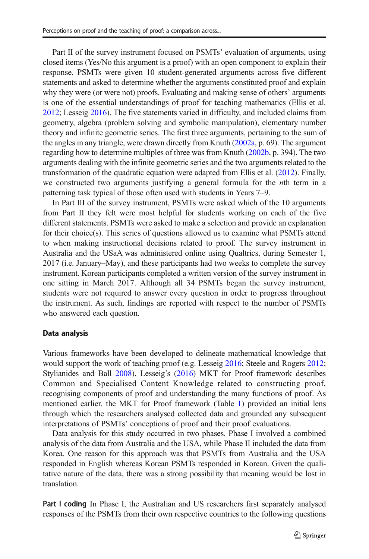Part II of the survey instrument focused on PSMTs' evaluation of arguments, using closed items (Yes/No this argument is a proof) with an open component to explain their response. PSMTs were given 10 student-generated arguments across five different statements and asked to determine whether the arguments constituted proof and explain why they were (or were not) proofs. Evaluating and making sense of others' arguments is one of the essential understandings of proof for teaching mathematics (Ellis et al. [2012;](#page-25-0) Lesseig [2016](#page-26-0)). The five statements varied in difficulty, and included claims from geometry, algebra (problem solving and symbolic manipulation), elementary number theory and infinite geometric series. The first three arguments, pertaining to the sum of the angles in any triangle, were drawn directly from Knuth ([2002a,](#page-25-0) p. 69). The argument regarding how to determine multiples of three was from Knuth [\(2002b](#page-25-0), p. 394). The two arguments dealing with the infinite geometric series and the two arguments related to the transformation of the quadratic equation were adapted from Ellis et al. [\(2012\)](#page-25-0). Finally, we constructed two arguments justifying a general formula for the nth term in a patterning task typical of those often used with students in Years 7–9.

In Part III of the survey instrument, PSMTs were asked which of the 10 arguments from Part II they felt were most helpful for students working on each of the five different statements. PSMTs were asked to make a selection and provide an explanation for their choice(s). This series of questions allowed us to examine what PSMTs attend to when making instructional decisions related to proof. The survey instrument in Australia and the USaA was administered online using Qualtrics, during Semester 1, 2017 (i.e. January–May), and these participants had two weeks to complete the survey instrument. Korean participants completed a written version of the survey instrument in one sitting in March 2017. Although all 34 PSMTs began the survey instrument, students were not required to answer every question in order to progress throughout the instrument. As such, findings are reported with respect to the number of PSMTs who answered each question.

#### Data analysis

Various frameworks have been developed to delineate mathematical knowledge that would support the work of teaching proof (e.g. Lesseig [2016;](#page-26-0) Steele and Rogers [2012;](#page-26-0) Stylianides and Ball [2008](#page-26-0)). Lesseig's ([2016](#page-26-0)) MKT for Proof framework describes Common and Specialised Content Knowledge related to constructing proof, recognising components of proof and understanding the many functions of proof. As mentioned earlier, the MKT for Proof framework (Table [1\)](#page-5-0) provided an initial lens through which the researchers analysed collected data and grounded any subsequent interpretations of PSMTs' conceptions of proof and their proof evaluations.

Data analysis for this study occurred in two phases. Phase I involved a combined analysis of the data from Australia and the USA, while Phase II included the data from Korea. One reason for this approach was that PSMTs from Australia and the USA responded in English whereas Korean PSMTs responded in Korean. Given the qualitative nature of the data, there was a strong possibility that meaning would be lost in translation.

Part I coding In Phase I, the Australian and US researchers first separately analysed responses of the PSMTs from their own respective countries to the following questions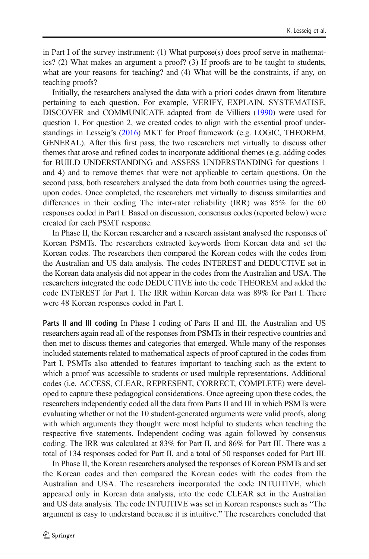in Part I of the survey instrument: (1) What purpose(s) does proof serve in mathematics? (2) What makes an argument a proof? (3) If proofs are to be taught to students, what are your reasons for teaching? and (4) What will be the constraints, if any, on teaching proofs?

Initially, the researchers analysed the data with a priori codes drawn from literature pertaining to each question. For example, VERIFY, EXPLAIN, SYSTEMATISE, DISCOVER and COMMUNICATE adapted from de Villiers [\(1990\)](#page-25-0) were used for question 1. For question 2, we created codes to align with the essential proof understandings in Lesseig's ([2016](#page-26-0)) MKT for Proof framework (e.g. LOGIC, THEOREM, GENERAL). After this first pass, the two researchers met virtually to discuss other themes that arose and refined codes to incorporate additional themes (e.g. adding codes for BUILD UNDERSTANDING and ASSESS UNDERSTANDING for questions 1 and 4) and to remove themes that were not applicable to certain questions. On the second pass, both researchers analysed the data from both countries using the agreedupon codes. Once completed, the researchers met virtually to discuss similarities and differences in their coding The inter-rater reliability (IRR) was 85% for the 60 responses coded in Part I. Based on discussion, consensus codes (reported below) were created for each PSMT response.

In Phase II, the Korean researcher and a research assistant analysed the responses of Korean PSMTs. The researchers extracted keywords from Korean data and set the Korean codes. The researchers then compared the Korean codes with the codes from the Australian and US data analysis. The codes INTEREST and DEDUCTIVE set in the Korean data analysis did not appear in the codes from the Australian and USA. The researchers integrated the code DEDUCTIVE into the code THEOREM and added the code INTEREST for Part I. The IRR within Korean data was 89% for Part I. There were 48 Korean responses coded in Part I.

Parts II and III coding In Phase I coding of Parts II and III, the Australian and US researchers again read all of the responses from PSMTs in their respective countries and then met to discuss themes and categories that emerged. While many of the responses included statements related to mathematical aspects of proof captured in the codes from Part I, PSMTs also attended to features important to teaching such as the extent to which a proof was accessible to students or used multiple representations. Additional codes (i.e. ACCESS, CLEAR, REPRESENT, CORRECT, COMPLETE) were developed to capture these pedagogical considerations. Once agreeing upon these codes, the researchers independently coded all the data from Parts II and III in which PSMTs were evaluating whether or not the 10 student-generated arguments were valid proofs, along with which arguments they thought were most helpful to students when teaching the respective five statements. Independent coding was again followed by consensus coding. The IRR was calculated at 83% for Part II, and 86% for Part III. There was a total of 134 responses coded for Part II, and a total of 50 responses coded for Part III.

In Phase II, the Korean researchers analysed the responses of Korean PSMTs and set the Korean codes and then compared the Korean codes with the codes from the Australian and USA. The researchers incorporated the code INTUITIVE, which appeared only in Korean data analysis, into the code CLEAR set in the Australian and US data analysis. The code INTUITIVE was set in Korean responses such as "The argument is easy to understand because it is intuitive." The researchers concluded that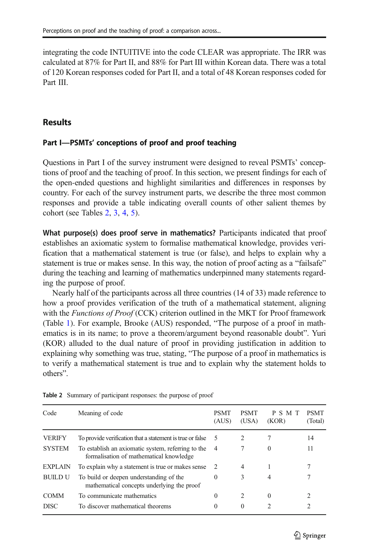integrating the code INTUITIVE into the code CLEAR was appropriate. The IRR was calculated at 87% for Part II, and 88% for Part III within Korean data. There was a total of 120 Korean responses coded for Part II, and a total of 48 Korean responses coded for Part III.

## Results

#### Part I—PSMTs' conceptions of proof and proof teaching

Questions in Part I of the survey instrument were designed to reveal PSMTs' conceptions of proof and the teaching of proof. In this section, we present findings for each of the open-ended questions and highlight similarities and differences in responses by country. For each of the survey instrument parts, we describe the three most common responses and provide a table indicating overall counts of other salient themes by cohort (see Tables 2, [3](#page-13-0), [4,](#page-13-0) [5\)](#page-14-0).

What purpose(s) does proof serve in mathematics? Participants indicated that proof establishes an axiomatic system to formalise mathematical knowledge, provides verification that a mathematical statement is true (or false), and helps to explain why a statement is true or makes sense. In this way, the notion of proof acting as a "failsafe" during the teaching and learning of mathematics underpinned many statements regarding the purpose of proof.

Nearly half of the participants across all three countries (14 of 33) made reference to how a proof provides verification of the truth of a mathematical statement, aligning with the Functions of Proof (CCK) criterion outlined in the MKT for Proof framework (Table [1\)](#page-5-0). For example, Brooke (AUS) responded, "The purpose of a proof in mathematics is in its name; to prove a theorem/argument beyond reasonable doubt". Yuri (KOR) alluded to the dual nature of proof in providing justification in addition to explaining why something was true, stating, "The purpose of a proof in mathematics is to verify a mathematical statement is true and to explain why the statement holds to others".

| Code           | Meaning of code                                                                               | <b>PSMT</b><br>(AUS) | <b>PSMT</b><br>(USA) | P S M T<br>(KOR) | <b>PSMT</b><br>(Total) |
|----------------|-----------------------------------------------------------------------------------------------|----------------------|----------------------|------------------|------------------------|
| VERIFY         | To provide verification that a statement is true or false                                     | -5                   | 2                    |                  | 14                     |
| <b>SYSTEM</b>  | To establish an axiomatic system, referring to the<br>formalisation of mathematical knowledge | $\overline{4}$       |                      | $\theta$         | 11                     |
| <b>EXPLAIN</b> | To explain why a statement is true or makes sense                                             | 2                    | 4                    |                  |                        |
| BUILD U        | To build or deepen understanding of the<br>mathematical concepts underlying the proof         | $\Omega$             | 3                    | 4                |                        |
| <b>COMM</b>    | To communicate mathematics                                                                    | $\Omega$             | $\mathfrak{D}$       | $\Omega$         | 2                      |
| <b>DISC</b>    | To discover mathematical theorems                                                             | $\Omega$             | 0                    | 2                | 2                      |

Table 2 Summary of participant responses: the purpose of proof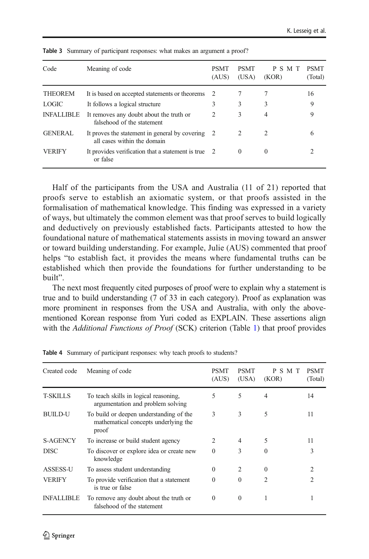| Code              | Meaning of code                                                                 | <b>PSMT</b><br>(AUS) | <b>PSMT</b><br>(USA)                                                                                                                                                                                                                                                                                                                                                                                   | PSM <sup>'</sup><br>(KOR) | <b>PSMT</b><br>(Total) |
|-------------------|---------------------------------------------------------------------------------|----------------------|--------------------------------------------------------------------------------------------------------------------------------------------------------------------------------------------------------------------------------------------------------------------------------------------------------------------------------------------------------------------------------------------------------|---------------------------|------------------------|
| <b>THEOREM</b>    | It is based on accepted statements or theorems                                  | 2                    |                                                                                                                                                                                                                                                                                                                                                                                                        |                           | 16                     |
| LOGIC             | It follows a logical structure                                                  | 3                    | 3                                                                                                                                                                                                                                                                                                                                                                                                      | 3                         | 9                      |
| <b>INFALLIBLE</b> | It removes any doubt about the truth or<br>falsehood of the statement           | $\mathcal{L}$        | 3                                                                                                                                                                                                                                                                                                                                                                                                      | 4                         | 9                      |
| <b>GENERAL</b>    | It proves the statement in general by covering 2<br>all cases within the domain |                      | $\mathfrak{D}_{1}^{(1)}=\mathfrak{D}_{2}^{(2)}=\mathfrak{D}_{2}^{(1)}=\mathfrak{D}_{2}^{(1)}=\mathfrak{D}_{2}^{(1)}=\mathfrak{D}_{2}^{(1)}=\mathfrak{D}_{2}^{(1)}=\mathfrak{D}_{2}^{(1)}=\mathfrak{D}_{2}^{(1)}=\mathfrak{D}_{2}^{(1)}=\mathfrak{D}_{2}^{(1)}=\mathfrak{D}_{2}^{(1)}=\mathfrak{D}_{2}^{(1)}=\mathfrak{D}_{2}^{(1)}=\mathfrak{D}_{2}^{(1)}=\mathfrak{D}_{2}^{(1)}=\mathfrak{D}_{2}^{(1$ | $\mathcal{L}$             | 6                      |
| VERIFY            | It provides verification that a statement is true 2<br>or false                 |                      | $\theta$                                                                                                                                                                                                                                                                                                                                                                                               | $\Omega$                  |                        |

<span id="page-13-0"></span>Table 3 Summary of participant responses: what makes an argument a proof?

Half of the participants from the USA and Australia (11 of 21) reported that proofs serve to establish an axiomatic system, or that proofs assisted in the formalisation of mathematical knowledge. This finding was expressed in a variety of ways, but ultimately the common element was that proof serves to build logically and deductively on previously established facts. Participants attested to how the foundational nature of mathematical statements assists in moving toward an answer or toward building understanding. For example, Julie (AUS) commented that proof helps "to establish fact, it provides the means where fundamental truths can be established which then provide the foundations for further understanding to be built".

The next most frequently cited purposes of proof were to explain why a statement is true and to build understanding (7 of 33 in each category). Proof as explanation was more prominent in responses from the USA and Australia, with only the abovementioned Korean response from Yuri coded as EXPLAIN. These assertions align with the Additional Functions of Proof (SCK) criterion (Table [1](#page-5-0)) that proof provides

| Created code      | Meaning of code                                                                          | <b>PSMT</b><br>(AUS) | <b>PSMT</b><br>(USA) | P<br>S M T<br>(KOR) | <b>PSMT</b><br>(Total) |
|-------------------|------------------------------------------------------------------------------------------|----------------------|----------------------|---------------------|------------------------|
| T-SKILLS          | To teach skills in logical reasoning,<br>argumentation and problem solving               | 5                    | 5                    | $\overline{4}$      | 14                     |
| <b>BUILD-U</b>    | To build or deepen understanding of the<br>mathematical concepts underlying the<br>proof | 3                    | 3                    | 5                   | 11                     |
| <b>S-AGENCY</b>   | To increase or build student agency                                                      | $\mathfrak{D}$       | 4                    | 5                   | 11                     |
| <b>DISC</b>       | To discover or explore idea or create new<br>knowledge                                   | $\Omega$             | 3                    | $\Omega$            | 3                      |
| <b>ASSESS-U</b>   | To assess student understanding                                                          | $\Omega$             | 2                    | $\Omega$            | $\mathcal{P}$          |
| <b>VERIFY</b>     | To provide verification that a statement<br>is true or false                             | $\Omega$             | $\Omega$             | $\mathcal{P}$       | 2                      |
| <b>INFALLIBLE</b> | To remove any doubt about the truth or<br>falsehood of the statement                     | $\Omega$             | $\Omega$             |                     |                        |

Table 4 Summary of participant responses: why teach proofs to students?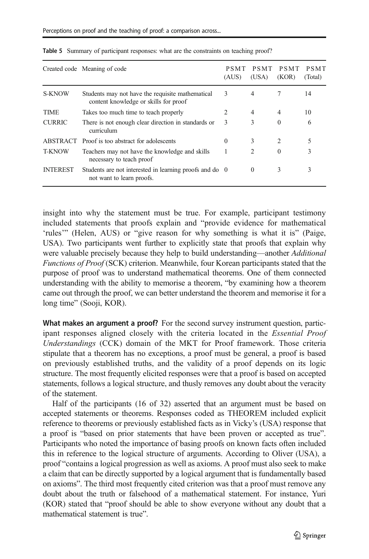|                 | Created code Meaning of code                                                              | PSMT<br>(AUS) | <b>PSMT</b><br>(USA) | PSMT<br>(KOR)  | PSMT<br>(Total) |
|-----------------|-------------------------------------------------------------------------------------------|---------------|----------------------|----------------|-----------------|
| <b>S-KNOW</b>   | Students may not have the requisite mathematical<br>content knowledge or skills for proof | 3             | $\overline{4}$       |                | 14              |
| TIME            | Takes too much time to teach properly                                                     | 2             | $\overline{4}$       | $\overline{4}$ | 10              |
| <b>CURRIC</b>   | There is not enough clear direction in standards or<br>curriculum                         | 3             | 3                    | $\Omega$       | 6               |
|                 | ABSTRACT Proof is too abstract for adolescents                                            | $\Omega$      | 3                    | 2              | 5               |
| <b>T-KNOW</b>   | Teachers may not have the knowledge and skills<br>necessary to teach proof                | 1             | $\overline{c}$       | 0              | 3               |
| <b>INTEREST</b> | Students are not interested in learning proofs and do 0<br>not want to learn proofs.      |               | $\Omega$             | 3              | 3               |

<span id="page-14-0"></span>Table 5 Summary of participant responses: what are the constraints on teaching proof?

insight into why the statement must be true. For example, participant testimony included statements that proofs explain and "provide evidence for mathematical 'rules'" (Helen, AUS) or "give reason for why something is what it is" (Paige, USA). Two participants went further to explicitly state that proofs that explain why were valuable precisely because they help to build understanding—another *Additional* Functions of Proof (SCK) criterion. Meanwhile, four Korean participants stated that the purpose of proof was to understand mathematical theorems. One of them connected understanding with the ability to memorise a theorem, "by examining how a theorem came out through the proof, we can better understand the theorem and memorise it for a long time" (Sooji, KOR).

What makes an argument a proof? For the second survey instrument question, participant responses aligned closely with the criteria located in the Essential Proof Understandings (CCK) domain of the MKT for Proof framework. Those criteria stipulate that a theorem has no exceptions, a proof must be general, a proof is based on previously established truths, and the validity of a proof depends on its logic structure. The most frequently elicited responses were that a proof is based on accepted statements, follows a logical structure, and thusly removes any doubt about the veracity of the statement.

Half of the participants (16 of 32) asserted that an argument must be based on accepted statements or theorems. Responses coded as THEOREM included explicit reference to theorems or previously established facts as in Vicky's (USA) response that a proof is "based on prior statements that have been proven or accepted as true". Participants who noted the importance of basing proofs on known facts often included this in reference to the logical structure of arguments. According to Oliver (USA), a proof "contains a logical progression as well as axioms. A proof must also seek to make a claim that can be directly supported by a logical argument that is fundamentally based on axioms". The third most frequently cited criterion was that a proof must remove any doubt about the truth or falsehood of a mathematical statement. For instance, Yuri (KOR) stated that "proof should be able to show everyone without any doubt that a mathematical statement is true".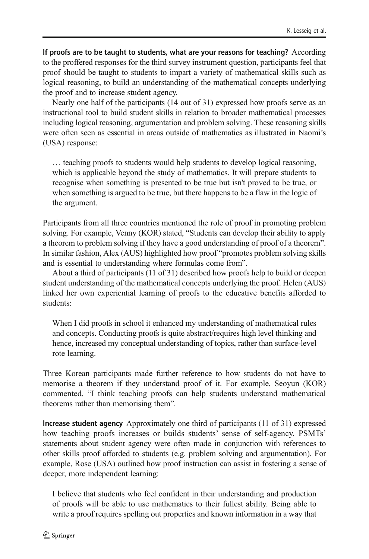If proofs are to be taught to students, what are your reasons for teaching? According to the proffered responses for the third survey instrument question, participants feel that proof should be taught to students to impart a variety of mathematical skills such as logical reasoning, to build an understanding of the mathematical concepts underlying the proof and to increase student agency.

Nearly one half of the participants (14 out of 31) expressed how proofs serve as an instructional tool to build student skills in relation to broader mathematical processes including logical reasoning, argumentation and problem solving. These reasoning skills were often seen as essential in areas outside of mathematics as illustrated in Naomi's (USA) response:

… teaching proofs to students would help students to develop logical reasoning, which is applicable beyond the study of mathematics. It will prepare students to recognise when something is presented to be true but isn't proved to be true, or when something is argued to be true, but there happens to be a flaw in the logic of the argument.

Participants from all three countries mentioned the role of proof in promoting problem solving. For example, Venny (KOR) stated, "Students can develop their ability to apply a theorem to problem solving if they have a good understanding of proof of a theorem". In similar fashion, Alex (AUS) highlighted how proof "promotes problem solving skills and is essential to understanding where formulas come from".

About a third of participants (11 of 31) described how proofs help to build or deepen student understanding of the mathematical concepts underlying the proof. Helen (AUS) linked her own experiential learning of proofs to the educative benefits afforded to students:

When I did proofs in school it enhanced my understanding of mathematical rules and concepts. Conducting proofs is quite abstract/requires high level thinking and hence, increased my conceptual understanding of topics, rather than surface-level rote learning.

Three Korean participants made further reference to how students do not have to memorise a theorem if they understand proof of it. For example, Seoyun (KOR) commented, "I think teaching proofs can help students understand mathematical theorems rather than memorising them".

Increase student agency Approximately one third of participants (11 of 31) expressed how teaching proofs increases or builds students' sense of self-agency. PSMTs' statements about student agency were often made in conjunction with references to other skills proof afforded to students (e.g. problem solving and argumentation). For example, Rose (USA) outlined how proof instruction can assist in fostering a sense of deeper, more independent learning:

I believe that students who feel confident in their understanding and production of proofs will be able to use mathematics to their fullest ability. Being able to write a proof requires spelling out properties and known information in a way that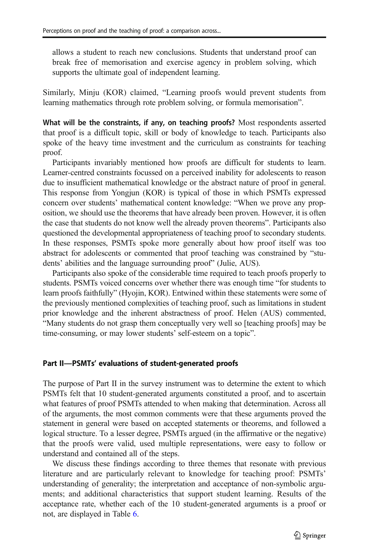allows a student to reach new conclusions. Students that understand proof can break free of memorisation and exercise agency in problem solving, which supports the ultimate goal of independent learning.

Similarly, Minju (KOR) claimed, "Learning proofs would prevent students from learning mathematics through rote problem solving, or formula memorisation".

What will be the constraints, if any, on teaching proofs? Most respondents asserted that proof is a difficult topic, skill or body of knowledge to teach. Participants also spoke of the heavy time investment and the curriculum as constraints for teaching proof.

Participants invariably mentioned how proofs are difficult for students to learn. Learner-centred constraints focussed on a perceived inability for adolescents to reason due to insufficient mathematical knowledge or the abstract nature of proof in general. This response from Yongjun (KOR) is typical of those in which PSMTs expressed concern over students' mathematical content knowledge: "When we prove any proposition, we should use the theorems that have already been proven. However, it is often the case that students do not know well the already proven theorems". Participants also questioned the developmental appropriateness of teaching proof to secondary students. In these responses, PSMTs spoke more generally about how proof itself was too abstract for adolescents or commented that proof teaching was constrained by "students' abilities and the language surrounding proof" (Julie, AUS).

Participants also spoke of the considerable time required to teach proofs properly to students. PSMTs voiced concerns over whether there was enough time "for students to learn proofs faithfully" (Hyojin, KOR). Entwined within these statements were some of the previously mentioned complexities of teaching proof, such as limitations in student prior knowledge and the inherent abstractness of proof. Helen (AUS) commented, "Many students do not grasp them conceptually very well so [teaching proofs] may be time-consuming, or may lower students' self-esteem on a topic".

## Part II—PSMTs' evaluations of student-generated proofs

The purpose of Part II in the survey instrument was to determine the extent to which PSMTs felt that 10 student-generated arguments constituted a proof, and to ascertain what features of proof PSMTs attended to when making that determination. Across all of the arguments, the most common comments were that these arguments proved the statement in general were based on accepted statements or theorems, and followed a logical structure. To a lesser degree, PSMTs argued (in the affirmative or the negative) that the proofs were valid, used multiple representations, were easy to follow or understand and contained all of the steps.

We discuss these findings according to three themes that resonate with previous literature and are particularly relevant to knowledge for teaching proof: PSMTs' understanding of generality; the interpretation and acceptance of non-symbolic arguments; and additional characteristics that support student learning. Results of the acceptance rate, whether each of the 10 student-generated arguments is a proof or not, are displayed in Table [6](#page-17-0).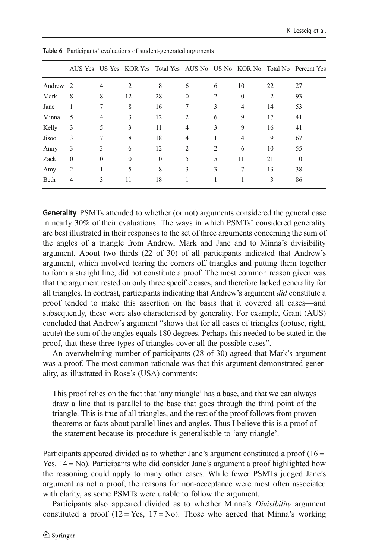|        |                |          |          |          |                |                |                |    | AUS Yes US Yes KOR Yes Total Yes AUS No US No KOR No Total No Percent Yes |
|--------|----------------|----------|----------|----------|----------------|----------------|----------------|----|---------------------------------------------------------------------------|
| Andrew | $\overline{2}$ | 4        | 2        | 8        | 6              | 6              | 10             | 22 | 27                                                                        |
| Mark   | 8              | 8        | 12       | 28       | $\mathbf{0}$   | 2              | $\mathbf{0}$   | 2  | 93                                                                        |
| Jane   |                |          | 8        | 16       |                | 3              | $\overline{4}$ | 14 | 53                                                                        |
| Minna  | 5              | 4        | 3        | 12       | 2              | 6              | 9              | 17 | 41                                                                        |
| Kelly  | 3              | 5        | 3        | 11       | 4              | 3              | 9              | 16 | 41                                                                        |
| Jisoo  | 3              | 7        | 8        | 18       | $\overline{4}$ |                | $\overline{4}$ | 9  | 67                                                                        |
| Anny   | 3              | 3        | 6        | 12       | 2              | $\mathfrak{D}$ | 6              | 10 | 55                                                                        |
| Zack   | $\Omega$       | $\Omega$ | $\Omega$ | $\Omega$ | 5              | 5              | 11             | 21 | $\Omega$                                                                  |
| Amy    | $\overline{c}$ |          | 5        | 8        | 3              | 3              | 7              | 13 | 38                                                                        |
| Beth   | 4              | 3        | 11       | 18       |                |                |                | 3  | 86                                                                        |

<span id="page-17-0"></span>Table 6 Participants' evaluations of student-generated arguments

Generality PSMTs attended to whether (or not) arguments considered the general case in nearly 30% of their evaluations. The ways in which PSMTs' considered generality are best illustrated in their responses to the set of three arguments concerning the sum of the angles of a triangle from Andrew, Mark and Jane and to Minna's divisibility argument. About two thirds (22 of 30) of all participants indicated that Andrew's argument, which involved tearing the corners off triangles and putting them together to form a straight line, did not constitute a proof. The most common reason given was that the argument rested on only three specific cases, and therefore lacked generality for all triangles. In contrast, participants indicating that Andrew's argument did constitute a proof tended to make this assertion on the basis that it covered all cases—and subsequently, these were also characterised by generality. For example, Grant (AUS) concluded that Andrew's argument "shows that for all cases of triangles (obtuse, right, acute) the sum of the angles equals 180 degrees. Perhaps this needed to be stated in the proof, that these three types of triangles cover all the possible cases".

An overwhelming number of participants (28 of 30) agreed that Mark's argument was a proof. The most common rationale was that this argument demonstrated generality, as illustrated in Rose's (USA) comments:

This proof relies on the fact that 'any triangle' has a base, and that we can always draw a line that is parallel to the base that goes through the third point of the triangle. This is true of all triangles, and the rest of the proof follows from proven theorems or facts about parallel lines and angles. Thus I believe this is a proof of the statement because its procedure is generalisable to 'any triangle'.

Participants appeared divided as to whether Jane's argument constituted a proof (16 = Yes, 14 = No). Participants who did consider Jane's argument a proof highlighted how the reasoning could apply to many other cases. While fewer PSMTs judged Jane's argument as not a proof, the reasons for non-acceptance were most often associated with clarity, as some PSMTs were unable to follow the argument.

Participants also appeared divided as to whether Minna's *Divisibility* argument constituted a proof  $(12 = Yes, 17 = No)$ . Those who agreed that Minna's working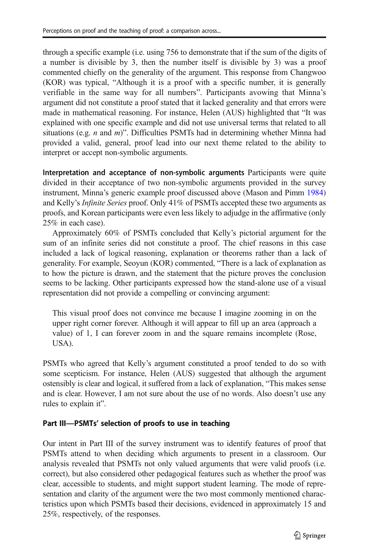through a specific example (i.e. using 756 to demonstrate that if the sum of the digits of a number is divisible by 3, then the number itself is divisible by 3) was a proof commented chiefly on the generality of the argument. This response from Changwoo (KOR) was typical, "Although it is a proof with a specific number, it is generally verifiable in the same way for all numbers". Participants avowing that Minna's argument did not constitute a proof stated that it lacked generality and that errors were made in mathematical reasoning. For instance, Helen (AUS) highlighted that "It was explained with one specific example and did not use universal terms that related to all situations (e.g.  $n$  and  $m$ )". Difficulties PSMTs had in determining whether Minna had provided a valid, general, proof lead into our next theme related to the ability to interpret or accept non-symbolic arguments.

Interpretation and acceptance of non-symbolic arguments Participants were quite divided in their acceptance of two non-symbolic arguments provided in the survey instrument, Minna's generic example proof discussed above (Mason and Pimm [1984](#page-26-0)) and Kelly's Infinite Series proof. Only 41% of PSMTs accepted these two arguments as proofs, and Korean participants were even less likely to adjudge in the affirmative (only 25% in each case).

Approximately 60% of PSMTs concluded that Kelly's pictorial argument for the sum of an infinite series did not constitute a proof. The chief reasons in this case included a lack of logical reasoning, explanation or theorems rather than a lack of generality. For example, Seoyun (KOR) commented, "There is a lack of explanation as to how the picture is drawn, and the statement that the picture proves the conclusion seems to be lacking. Other participants expressed how the stand-alone use of a visual representation did not provide a compelling or convincing argument:

This visual proof does not convince me because I imagine zooming in on the upper right corner forever. Although it will appear to fill up an area (approach a value) of 1, I can forever zoom in and the square remains incomplete (Rose, USA).

PSMTs who agreed that Kelly's argument constituted a proof tended to do so with some scepticism. For instance, Helen (AUS) suggested that although the argument ostensibly is clear and logical, it suffered from a lack of explanation, "This makes sense and is clear. However, I am not sure about the use of no words. Also doesn't use any rules to explain it".

## Part III—PSMTs' selection of proofs to use in teaching

Our intent in Part III of the survey instrument was to identify features of proof that PSMTs attend to when deciding which arguments to present in a classroom. Our analysis revealed that PSMTs not only valued arguments that were valid proofs (i.e. correct), but also considered other pedagogical features such as whether the proof was clear, accessible to students, and might support student learning. The mode of representation and clarity of the argument were the two most commonly mentioned characteristics upon which PSMTs based their decisions, evidenced in approximately 15 and 25%, respectively, of the responses.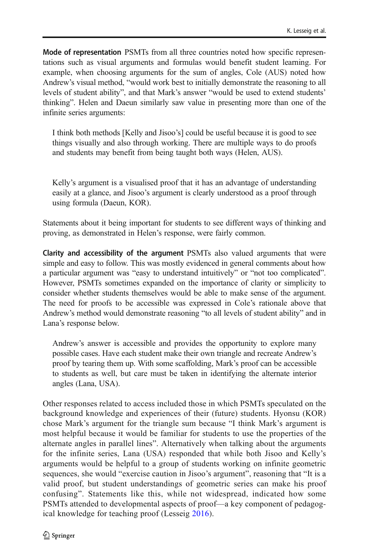Mode of representation PSMTs from all three countries noted how specific representations such as visual arguments and formulas would benefit student learning. For example, when choosing arguments for the sum of angles, Cole (AUS) noted how Andrew's visual method, "would work best to initially demonstrate the reasoning to all levels of student ability", and that Mark's answer "would be used to extend students' thinking". Helen and Daeun similarly saw value in presenting more than one of the infinite series arguments:

I think both methods [Kelly and Jisoo's] could be useful because it is good to see things visually and also through working. There are multiple ways to do proofs and students may benefit from being taught both ways (Helen, AUS).

Kelly's argument is a visualised proof that it has an advantage of understanding easily at a glance, and Jisoo's argument is clearly understood as a proof through using formula (Daeun, KOR).

Statements about it being important for students to see different ways of thinking and proving, as demonstrated in Helen's response, were fairly common.

Clarity and accessibility of the argument PSMTs also valued arguments that were simple and easy to follow. This was mostly evidenced in general comments about how a particular argument was "easy to understand intuitively" or "not too complicated". However, PSMTs sometimes expanded on the importance of clarity or simplicity to consider whether students themselves would be able to make sense of the argument. The need for proofs to be accessible was expressed in Cole's rationale above that Andrew's method would demonstrate reasoning "to all levels of student ability" and in Lana's response below.

Andrew's answer is accessible and provides the opportunity to explore many possible cases. Have each student make their own triangle and recreate Andrew's proof by tearing them up. With some scaffolding, Mark's proof can be accessible to students as well, but care must be taken in identifying the alternate interior angles (Lana, USA).

Other responses related to access included those in which PSMTs speculated on the background knowledge and experiences of their (future) students. Hyonsu (KOR) chose Mark's argument for the triangle sum because "I think Mark's argument is most helpful because it would be familiar for students to use the properties of the alternate angles in parallel lines". Alternatively when talking about the arguments for the infinite series, Lana (USA) responded that while both Jisoo and Kelly's arguments would be helpful to a group of students working on infinite geometric sequences, she would "exercise caution in Jisoo's argument", reasoning that "It is a valid proof, but student understandings of geometric series can make his proof confusing". Statements like this, while not widespread, indicated how some PSMTs attended to developmental aspects of proof—a key component of pedagogical knowledge for teaching proof (Lesseig [2016](#page-26-0)).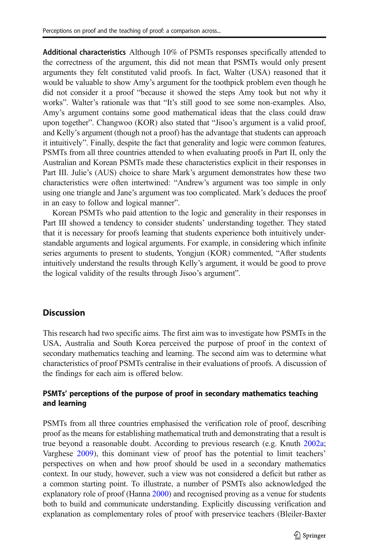Additional characteristics Although 10% of PSMTs responses specifically attended to the correctness of the argument, this did not mean that PSMTs would only present arguments they felt constituted valid proofs. In fact, Walter (USA) reasoned that it would be valuable to show Amy's argument for the toothpick problem even though he did not consider it a proof "because it showed the steps Amy took but not why it works". Walter's rationale was that "It's still good to see some non-examples. Also, Amy's argument contains some good mathematical ideas that the class could draw upon together". Changwoo (KOR) also stated that "Jisoo's argument is a valid proof, and Kelly's argument (though not a proof) has the advantage that students can approach it intuitively". Finally, despite the fact that generality and logic were common features, PSMTs from all three countries attended to when evaluating proofs in Part II, only the Australian and Korean PSMTs made these characteristics explicit in their responses in Part III. Julie's (AUS) choice to share Mark's argument demonstrates how these two characteristics were often intertwined: "Andrew's argument was too simple in only using one triangle and Jane's argument was too complicated. Mark's deduces the proof in an easy to follow and logical manner".

Korean PSMTs who paid attention to the logic and generality in their responses in Part III showed a tendency to consider students' understanding together. They stated that it is necessary for proofs learning that students experience both intuitively understandable arguments and logical arguments. For example, in considering which infinite series arguments to present to students, Yongjun (KOR) commented, "After students intuitively understand the results through Kelly's argument, it would be good to prove the logical validity of the results through Jisoo's argument".

## **Discussion**

This research had two specific aims. The first aim was to investigate how PSMTs in the USA, Australia and South Korea perceived the purpose of proof in the context of secondary mathematics teaching and learning. The second aim was to determine what characteristics of proof PSMTs centralise in their evaluations of proofs. A discussion of the findings for each aim is offered below.

## PSMTs' perceptions of the purpose of proof in secondary mathematics teaching and learning

PSMTs from all three countries emphasised the verification role of proof, describing proof as the means for establishing mathematical truth and demonstrating that a result is true beyond a reasonable doubt. According to previous research (e.g. Knuth [2002a;](#page-25-0) Varghese [2009\)](#page-26-0), this dominant view of proof has the potential to limit teachers' perspectives on when and how proof should be used in a secondary mathematics context. In our study, however, such a view was not considered a deficit but rather as a common starting point. To illustrate, a number of PSMTs also acknowledged the explanatory role of proof (Hanna [2000\)](#page-25-0) and recognised proving as a venue for students both to build and communicate understanding. Explicitly discussing verification and explanation as complementary roles of proof with preservice teachers (Bleiler-Baxter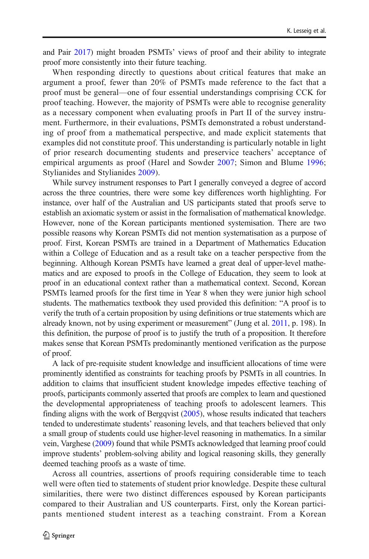and Pair [2017\)](#page-25-0) might broaden PSMTs' views of proof and their ability to integrate proof more consistently into their future teaching.

When responding directly to questions about critical features that make an argument a proof, fewer than 20% of PSMTs made reference to the fact that a proof must be general—one of four essential understandings comprising CCK for proof teaching. However, the majority of PSMTs were able to recognise generality as a necessary component when evaluating proofs in Part II of the survey instrument. Furthermore, in their evaluations, PSMTs demonstrated a robust understanding of proof from a mathematical perspective, and made explicit statements that examples did not constitute proof. This understanding is particularly notable in light of prior research documenting students and preservice teachers' acceptance of empirical arguments as proof (Harel and Sowder [2007](#page-25-0); Simon and Blume [1996;](#page-26-0) Stylianides and Stylianides [2009\)](#page-26-0).

While survey instrument responses to Part I generally conveyed a degree of accord across the three countries, there were some key differences worth highlighting. For instance, over half of the Australian and US participants stated that proofs serve to establish an axiomatic system or assist in the formalisation of mathematical knowledge. However, none of the Korean participants mentioned systemisation. There are two possible reasons why Korean PSMTs did not mention systematisation as a purpose of proof. First, Korean PSMTs are trained in a Department of Mathematics Education within a College of Education and as a result take on a teacher perspective from the beginning. Although Korean PSMTs have learned a great deal of upper-level mathematics and are exposed to proofs in the College of Education, they seem to look at proof in an educational context rather than a mathematical context. Second, Korean PSMTs learned proofs for the first time in Year 8 when they were junior high school students. The mathematics textbook they used provided this definition: "A proof is to verify the truth of a certain proposition by using definitions or true statements which are already known, not by using experiment or measurement" (Jung et al. [2011,](#page-25-0) p. 198). In this definition, the purpose of proof is to justify the truth of a proposition. It therefore makes sense that Korean PSMTs predominantly mentioned verification as the purpose of proof.

A lack of pre-requisite student knowledge and insufficient allocations of time were prominently identified as constraints for teaching proofs by PSMTs in all countries. In addition to claims that insufficient student knowledge impedes effective teaching of proofs, participants commonly asserted that proofs are complex to learn and questioned the developmental appropriateness of teaching proofs to adolescent learners. This finding aligns with the work of Bergqvist ([2005](#page-25-0)), whose results indicated that teachers tended to underestimate students' reasoning levels, and that teachers believed that only a small group of students could use higher-level reasoning in mathematics. In a similar vein, Varghese [\(2009\)](#page-26-0) found that while PSMTs acknowledged that learning proof could improve students' problem-solving ability and logical reasoning skills, they generally deemed teaching proofs as a waste of time.

Across all countries, assertions of proofs requiring considerable time to teach well were often tied to statements of student prior knowledge. Despite these cultural similarities, there were two distinct differences espoused by Korean participants compared to their Australian and US counterparts. First, only the Korean participants mentioned student interest as a teaching constraint. From a Korean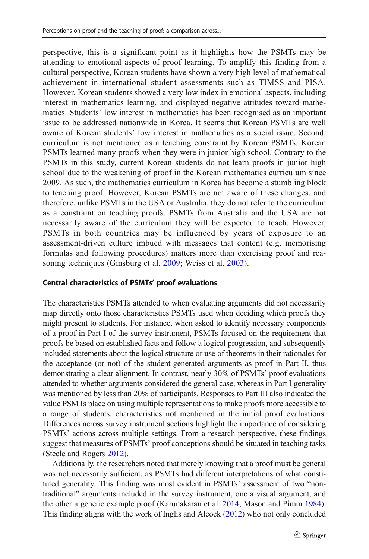perspective, this is a significant point as it highlights how the PSMTs may be attending to emotional aspects of proof learning. To amplify this finding from a cultural perspective, Korean students have shown a very high level of mathematical achievement in international student assessments such as TIMSS and PISA. However, Korean students showed a very low index in emotional aspects, including interest in mathematics learning, and displayed negative attitudes toward mathematics. Students' low interest in mathematics has been recognised as an important issue to be addressed nationwide in Korea. It seems that Korean PSMTs are well aware of Korean students' low interest in mathematics as a social issue. Second, curriculum is not mentioned as a teaching constraint by Korean PSMTs. Korean PSMTs learned many proofs when they were in junior high school. Contrary to the PSMTs in this study, current Korean students do not learn proofs in junior high school due to the weakening of proof in the Korean mathematics curriculum since 2009. As such, the mathematics curriculum in Korea has become a stumbling block to teaching proof. However, Korean PSMTs are not aware of these changes, and therefore, unlike PSMTs in the USA or Australia, they do not refer to the curriculum as a constraint on teaching proofs. PSMTs from Australia and the USA are not necessarily aware of the curriculum they will be expected to teach. However, PSMTs in both countries may be influenced by years of exposure to an assessment-driven culture imbued with messages that content (e.g. memorising formulas and following procedures) matters more than exercising proof and rea-soning techniques (Ginsburg et al. [2009;](#page-25-0) Weiss et al. [2003\)](#page-26-0).

#### Central characteristics of PSMTs' proof evaluations

The characteristics PSMTs attended to when evaluating arguments did not necessarily map directly onto those characteristics PSMTs used when deciding which proofs they might present to students. For instance, when asked to identify necessary components of a proof in Part I of the survey instrument, PSMTs focused on the requirement that proofs be based on established facts and follow a logical progression, and subsequently included statements about the logical structure or use of theorems in their rationales for the acceptance (or not) of the student-generated arguments as proof in Part II, thus demonstrating a clear alignment. In contrast, nearly 30% of PSMTs' proof evaluations attended to whether arguments considered the general case, whereas in Part I generality was mentioned by less than 20% of participants. Responses to Part III also indicated the value PSMTs place on using multiple representations to make proofs more accessible to a range of students, characteristics not mentioned in the initial proof evaluations. Differences across survey instrument sections highlight the importance of considering PSMTs' actions across multiple settings. From a research perspective, these findings suggest that measures of PSMTs' proof conceptions should be situated in teaching tasks (Steele and Rogers [2012\)](#page-26-0).

Additionally, the researchers noted that merely knowing that a proof must be general was not necessarily sufficient, as PSMTs had different interpretations of what constituted generality. This finding was most evident in PSMTs' assessment of two "nontraditional" arguments included in the survey instrument, one a visual argument, and the other a generic example proof (Karunakaran et al. [2014;](#page-25-0) Mason and Pimm [1984\)](#page-26-0). This finding aligns with the work of Inglis and Alcock ([2012](#page-25-0)) who not only concluded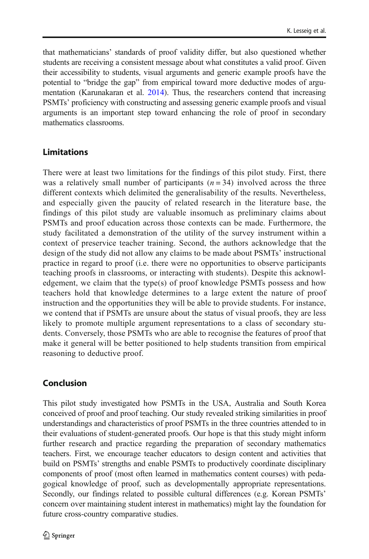that mathematicians' standards of proof validity differ, but also questioned whether students are receiving a consistent message about what constitutes a valid proof. Given their accessibility to students, visual arguments and generic example proofs have the potential to "bridge the gap" from empirical toward more deductive modes of argumentation (Karunakaran et al. [2014\)](#page-25-0). Thus, the researchers contend that increasing PSMTs' proficiency with constructing and assessing generic example proofs and visual arguments is an important step toward enhancing the role of proof in secondary mathematics classrooms.

#### Limitations

There were at least two limitations for the findings of this pilot study. First, there was a relatively small number of participants  $(n = 34)$  involved across the three different contexts which delimited the generalisability of the results. Nevertheless, and especially given the paucity of related research in the literature base, the findings of this pilot study are valuable insomuch as preliminary claims about PSMTs and proof education across those contexts can be made. Furthermore, the study facilitated a demonstration of the utility of the survey instrument within a context of preservice teacher training. Second, the authors acknowledge that the design of the study did not allow any claims to be made about PSMTs' instructional practice in regard to proof (i.e. there were no opportunities to observe participants teaching proofs in classrooms, or interacting with students). Despite this acknowledgement, we claim that the type(s) of proof knowledge PSMTs possess and how teachers hold that knowledge determines to a large extent the nature of proof instruction and the opportunities they will be able to provide students. For instance, we contend that if PSMTs are unsure about the status of visual proofs, they are less likely to promote multiple argument representations to a class of secondary students. Conversely, those PSMTs who are able to recognise the features of proof that make it general will be better positioned to help students transition from empirical reasoning to deductive proof.

## Conclusion

This pilot study investigated how PSMTs in the USA, Australia and South Korea conceived of proof and proof teaching. Our study revealed striking similarities in proof understandings and characteristics of proof PSMTs in the three countries attended to in their evaluations of student-generated proofs. Our hope is that this study might inform further research and practice regarding the preparation of secondary mathematics teachers. First, we encourage teacher educators to design content and activities that build on PSMTs' strengths and enable PSMTs to productively coordinate disciplinary components of proof (most often learned in mathematics content courses) with pedagogical knowledge of proof, such as developmentally appropriate representations. Secondly, our findings related to possible cultural differences (e.g. Korean PSMTs' concern over maintaining student interest in mathematics) might lay the foundation for future cross-country comparative studies.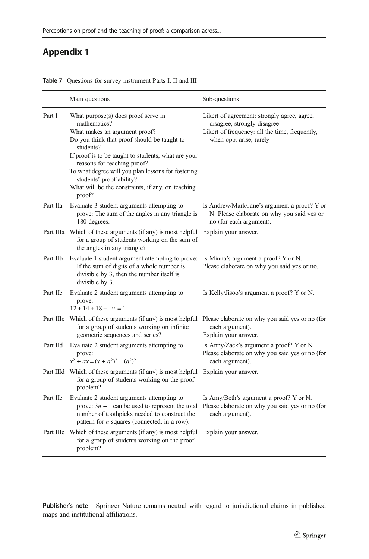# <span id="page-24-0"></span>Appendix 1

|          | Main questions                                                                                                                                                                                                                                                                                                                                                                          | Sub-questions                                                                                                                                           |
|----------|-----------------------------------------------------------------------------------------------------------------------------------------------------------------------------------------------------------------------------------------------------------------------------------------------------------------------------------------------------------------------------------------|---------------------------------------------------------------------------------------------------------------------------------------------------------|
| Part I   | What purpose(s) does proof serve in<br>mathematics?<br>What makes an argument proof?<br>Do you think that proof should be taught to<br>students?<br>If proof is to be taught to students, what are your<br>reasons for teaching proof?<br>To what degree will you plan lessons for fostering<br>students' proof ability?<br>What will be the constraints, if any, on teaching<br>proof? | Likert of agreement: strongly agree, agree,<br>disagree, strongly disagree<br>Likert of frequency: all the time, frequently,<br>when opp. arise, rarely |
| Part IIa | Evaluate 3 student arguments attempting to<br>prove: The sum of the angles in any triangle is<br>180 degrees.                                                                                                                                                                                                                                                                           | Is Andrew/Mark/Jane's argument a proof? Y or<br>N. Please elaborate on why you said yes or<br>no (for each argument).                                   |
|          | Part IIIa Which of these arguments (if any) is most helpful<br>for a group of students working on the sum of<br>the angles in any triangle?                                                                                                                                                                                                                                             | Explain your answer.                                                                                                                                    |
| Part IIb | Evaluate 1 student argument attempting to prove:<br>If the sum of digits of a whole number is<br>divisible by 3, then the number itself is<br>divisible by 3.                                                                                                                                                                                                                           | Is Minna's argument a proof? Y or N.<br>Please elaborate on why you said yes or no.                                                                     |
| Part IIc | Evaluate 2 student arguments attempting to<br>prove:<br>$12 + 14 + 18 + \cdots = 1$                                                                                                                                                                                                                                                                                                     | Is Kelly/Jisoo's argument a proof? Y or N.                                                                                                              |
|          | Part IIIc Which of these arguments (if any) is most helpful<br>for a group of students working on infinite<br>geometric sequences and series?                                                                                                                                                                                                                                           | Please elaborate on why you said yes or no (for<br>each argument).<br>Explain your answer.                                                              |
| Part IId | Evaluate 2 student arguments attempting to<br>prove:<br>$x^{2} + ax = (x + a^{2})^{2} - (a^{2})^{2}$                                                                                                                                                                                                                                                                                    | Is Anny/Zack's argument a proof? Y or N.<br>Please elaborate on why you said yes or no (for<br>each argument).                                          |
|          | Part IIId Which of these arguments (if any) is most helpful<br>for a group of students working on the proof<br>problem?                                                                                                                                                                                                                                                                 | Explain your answer.                                                                                                                                    |
| Part IIe | Evaluate 2 student arguments attempting to<br>prove: $3n + 1$ can be used to represent the total<br>number of toothpicks needed to construct the<br>pattern for $n$ squares (connected, in a row).                                                                                                                                                                                      | Is Amy/Beth's argument a proof? Y or N.<br>Please elaborate on why you said yes or no (for<br>each argument).                                           |
|          | Part IIIe Which of these arguments (if any) is most helpful<br>for a group of students working on the proof<br>problem?                                                                                                                                                                                                                                                                 | Explain your answer.                                                                                                                                    |

Table 7 Questions for survey instrument Parts I, II and III

Publisher's note Springer Nature remains neutral with regard to jurisdictional claims in published maps and institutional affiliations.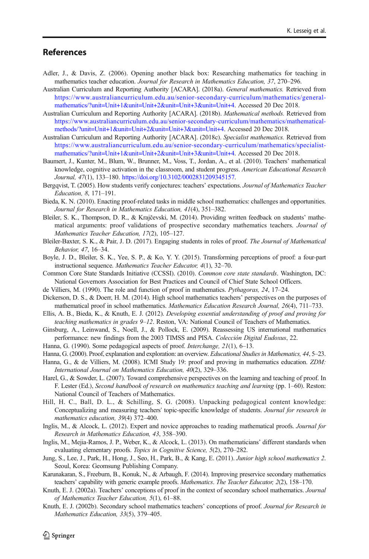## <span id="page-25-0"></span>References

- Adler, J., & Davis, Z. (2006). Opening another black box: Researching mathematics for teaching in mathematics teacher education. Journal for Research in Mathematics Education, 37, 270–296.
- Australian Curriculum and Reporting Authority [ACARA]. (2018a). General mathematics. Retrieved from [https://www.australiancurriculum.edu.au/senior-secondary-curriculum/mathematics/general](https://www.australiancurriculum.edu.au/senior-secondary-curriculum/mathematics/general-mathematics/?unit=Unit+1&unit=Unit+2&unit=Unit+3&unit=Unit+4)[mathematics/?unit=Unit+1&unit=Unit+2&unit=Unit+3&unit=Unit+4](https://www.australiancurriculum.edu.au/senior-secondary-curriculum/mathematics/general-mathematics/?unit=Unit+1&unit=Unit+2&unit=Unit+3&unit=Unit+4). Accessed 20 Dec 2018.
- Australian Curriculum and Reporting Authority [ACARA]. (2018b). Mathematical methods. Retrieved from [https://www.australiancurriculum.edu.au/senior-secondary-curriculum/mathematics/mathematical](https://www.australiancurriculum.edu.au/senior-secondary-curriculum/mathematics/mathematical-methods/?unit=Unit+1&unit=Unit+2&unit=Unit+3&unit=Unit+4)[methods/?unit=Unit+1&unit=Unit+2&unit=Unit+3&unit=Unit+4.](https://www.australiancurriculum.edu.au/senior-secondary-curriculum/mathematics/mathematical-methods/?unit=Unit+1&unit=Unit+2&unit=Unit+3&unit=Unit+4) Accessed 20 Dec 2018.
- Australian Curriculum and Reporting Authority [ACARA]. (2018c). Specialist mathematics. Retrieved from [https://www.australiancurriculum.edu.au/senior-secondary-curriculum/mathematics/specialist](https://www.australiancurriculum.edu.au/senior-secondary-curriculum/mathematics/specialist-mathematics/?unit=Unit+1&unit=Unit+2&unit=Unit+3&unit=Unit+4)[mathematics/?unit=Unit+1&unit=Unit+2&unit=Unit+3&unit=Unit+4](https://www.australiancurriculum.edu.au/senior-secondary-curriculum/mathematics/specialist-mathematics/?unit=Unit+1&unit=Unit+2&unit=Unit+3&unit=Unit+4). Accessed 20 Dec 2018.
- Baumert, J., Kunter, M., Blum, W., Brunner, M., Voss, T., Jordan, A., et al. (2010). Teachers' mathematical knowledge, cognitive activation in the classroom, and student progress. American Educational Research Journal, 47(1), 133–180. https://doi.org/10.3102/0002831209345157.
- Bergqvist, T. (2005). How students verify conjectures: teachers' expectations. Journal of Mathematics Teacher Education, 8, 171–191.
- Bieda, K. N. (2010). Enacting proof-related tasks in middle school mathematics: challenges and opportunities. Journal for Research in Mathematics Education, 41(4), 351–382.
- Bleiler, S. K., Thompson, D. R., & Krajčevski, M. (2014). Providing written feedback on students' mathematical arguments: proof validations of prospective secondary mathematics teachers. Journal of Mathematics Teacher Education, 17(2), 105–127.
- Bleiler-Baxter, S. K., & Pair, J. D. (2017). Engaging students in roles of proof. The Journal of Mathematical Behavior, 47, 16–34.
- Boyle, J. D., Bleiler, S. K., Yee, S. P., & Ko, Y. Y. (2015). Transforming perceptions of proof: a four-part instructional sequence. Mathematics Teacher Educator, 4(1), 32–70.
- Common Core State Standards Initiative (CCSSI). (2010). Common core state standards. Washington, DC: National Governors Association for Best Practices and Council of Chief State School Officers.
- de Villiers, M. (1990). The role and function of proof in mathematics. Pythagoras, 24, 17–24.
- Dickerson, D. S., & Doerr, H. M. (2014). High school mathematics teachers' perspectives on the purposes of mathematical proof in school mathematics. Mathematics Education Research Journal, 26(4), 711–733.
- Ellis, A. B., Bieda, K., & Knuth, E. J. (2012). Developing essential understanding of proof and proving for teaching mathematics in grades 9–12. Reston, VA: National Council of Teachers of Mathematics.
- Ginsburg, A., Leinwand, S., Noell, J., & Pollock, E. (2009). Reassessing US international mathematics performance: new findings from the 2003 TIMSS and PISA. Colección Digital Eudoxus, 22.
- Hanna, G. (1990). Some pedagogical aspects of proof. Interchange, 21(1), 6–13.

Hanna, G. (2000). Proof, explanation and exploration: an overview. Educational Studies in Mathematics, 44, 5–23.

- Hanna, G., & de Villiers, M. (2008). ICMI Study 19: proof and proving in mathematics education. ZDM: International Journal on Mathematics Education, 40(2), 329–336.
- Harel, G., & Sowder, L. (2007). Toward comprehensive perspectives on the learning and teaching of proof. In F. Lester (Ed.), Second handbook of research on mathematics teaching and learning (pp. 1–60). Reston: National Council of Teachers of Mathematics.
- Hill, H. C., Ball, D. L., & Schilling, S. G. (2008). Unpacking pedagogical content knowledge: Conceptualizing and measuring teachers' topic-specific knowledge of students. Journal for research in mathematics education, 39(4) 372–400.
- Inglis, M., & Alcock, L. (2012). Expert and novice approaches to reading mathematical proofs. Journal for Research in Mathematics Education, 43, 358–390.
- Inglis, M., Mejia-Ramos, J. P., Weber, K., & Alcock, L. (2013). On mathematicians' different standards when evaluating elementary proofs. Topics in Cognitive Science, 5(2), 270–282.
- Jung, S., Lee, J., Park, H., Hong, J., Seo, H., Park, B., & Kang, E. (2011). Junior high school mathematics 2. Seoul, Korea: Geomsung Publishing Company.
- Karunakaran, S., Freeburn, B., Konuk, N., & Arbaugh, F. (2014). Improving preservice secondary mathematics teachers' capability with generic example proofs. Mathematics. The Teacher Educator, 2(2), 158–170.
- Knuth, E. J. (2002a). Teachers' conceptions of proof in the context of secondary school mathematics. Journal of Mathematics Teacher Education, 5(1), 61–88.
- Knuth, E. J. (2002b). Secondary school mathematics teachers' conceptions of proof. Journal for Research in Mathematics Education, 33(5), 379–405.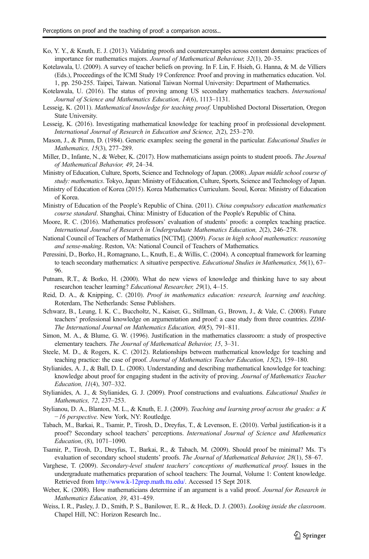- <span id="page-26-0"></span>Ko, Y. Y., & Knuth, E. J. (2013). Validating proofs and counterexamples across content domains: practices of importance for mathematics majors. Journal of Mathematical Behaviour, 32(1), 20–35.
- Kotelawala, U. (2009). A survey of teacher beliefs on proving. In F. Lin, F. Hsieh, G. Hanna, & M. de Villiers (Eds.), Proceedings of the ICMI Study 19 Conference: Proof and proving in mathematics education. Vol. 1, pp. 250-255. Taipei, Taiwan. National Taiwan Normal University: Department of Mathematics.
- Kotelawala, U. (2016). The status of proving among US secondary mathematics teachers. International Journal of Science and Mathematics Education, 14(6), 1113–1131.
- Lesseig, K. (2011). Mathematical knowledge for teaching proof. Unpublished Doctoral Dissertation, Oregon State University.
- Lesseig, K. (2016). Investigating mathematical knowledge for teaching proof in professional development. International Journal of Research in Education and Science, 2(2), 253–270.
- Mason, J., & Pimm, D. (1984). Generic examples: seeing the general in the particular. Educational Studies in Mathematics, 15(3), 277–289.
- Miller, D., Infante, N., & Weber, K. (2017). How mathematicians assign points to student proofs. The Journal of Mathematical Behavior, 49, 24–34.
- Ministry of Education, Culture, Sports, Science and Technology of Japan. (2008). Japan middle school course of study: mathematics. Tokyo, Japan: Ministry of Education, Culture, Sports, Science and Technology of Japan.
- Ministry of Education of Korea (2015). Korea Mathematics Curriculum. Seoul, Korea: Ministry of Education of Korea.
- Ministry of Education of the People's Republic of China. (2011). China compulsory education mathematics course standard. Shanghai, China: Ministry of Education of the People's Republic of China.
- Moore, R. C. (2016). Mathematics professors' evaluation of students' proofs: a complex teaching practice. International Journal of Research in Undergraduate Mathematics Education, 2(2), 246–278.
- National Council of Teachers of Mathematics [NCTM]. (2009). Focus in high school mathematics: reasoning and sense-making. Reston, VA: National Council of Teachers of Mathematics.
- Peressini, D., Borko, H., Romagnano, L., Knuth, E., & Willis, C. (2004). A conceptual framework for learning to teach secondary mathematics: A situative perspective. Educational Studies in Mathematics, 56(1), 67-96.
- Putnam, R.T., & Borko, H. (2000). What do new views of knowledge and thinking have to say about researchon teacher learning? Educational Researcher, 29(1), 4–15.
- Reid, D. A., & Knipping, C. (2010). Proof in mathematics education: research, learning and teaching. Roterdam, The Netherlands: Sense Publishers.
- Schwarz, B., Leung, I. K. C., Buccholtz, N., Kaiser, G., Stillman, G., Brown, J., & Vale, C. (2008). Future teachers' professional knowledge on argumentation and proof: a case study from three countries. ZDM-The International Journal on Mathematics Education, 40(5), 791–811.
- Simon, M. A., & Blume, G. W. (1996). Justification in the mathematics classroom: a study of prospective elementary teachers. The Journal of Mathematical Behavior, 15, 3–31.
- Steele, M. D., & Rogers, K. C. (2012). Relationships between mathematical knowledge for teaching and teaching practice: the case of proof. Journal of Mathematics Teacher Education, 15(2), 159–180.
- Stylianides, A. J., & Ball, D. L. (2008). Understanding and describing mathematical knowledge for teaching: knowledge about proof for engaging student in the activity of proving. Journal of Mathematics Teacher Education, 11(4), 307–332.
- Stylianides, A. J., & Stylianides, G. J. (2009). Proof constructions and evaluations. Educational Studies in Mathematics, 72, 237–253.
- Stylianou, D. A., Blanton, M. L., & Knuth, E. J. (2009). Teaching and learning proof across the grades: a K −16 perspective. New York, NY: Routledge.
- Tabach, M., Barkai, R., Tsamir, P., Tirosh, D., Dreyfus, T., & Levenson, E. (2010). Verbal justification-is it a proof? Secondary school teachers' perceptions. International Journal of Science and Mathematics Education, (8), 1071–1090.
- Tsamir, P., Tirosh, D., Dreyfus, T., Barkai, R., & Tabach, M. (2009). Should proof be minimal? Ms. T's evaluation of secondary school students' proofs. The Journal of Mathematical Behavior, 28(1), 58-67.
- Varghese, T. (2009). Secondary-level student teachers' conceptions of mathematical proof. Issues in the undergraduate mathematics preparation of school teachers: The Journal, Volume 1: Content knowledge. Retrieved from <http://www.k-12prep.math.ttu.edu/>. Accessed 15 Sept 2018.
- Weber, K. (2008). How mathematicians determine if an argument is a valid proof. Journal for Research in Mathematics Education, 39, 431–459.
- Weiss, I. R., Pasley, J. D., Smith, P. S., Banilower, E. R., & Heck, D. J. (2003). *Looking inside the classroom*. Chapel Hill, NC: Horizon Research Inc..